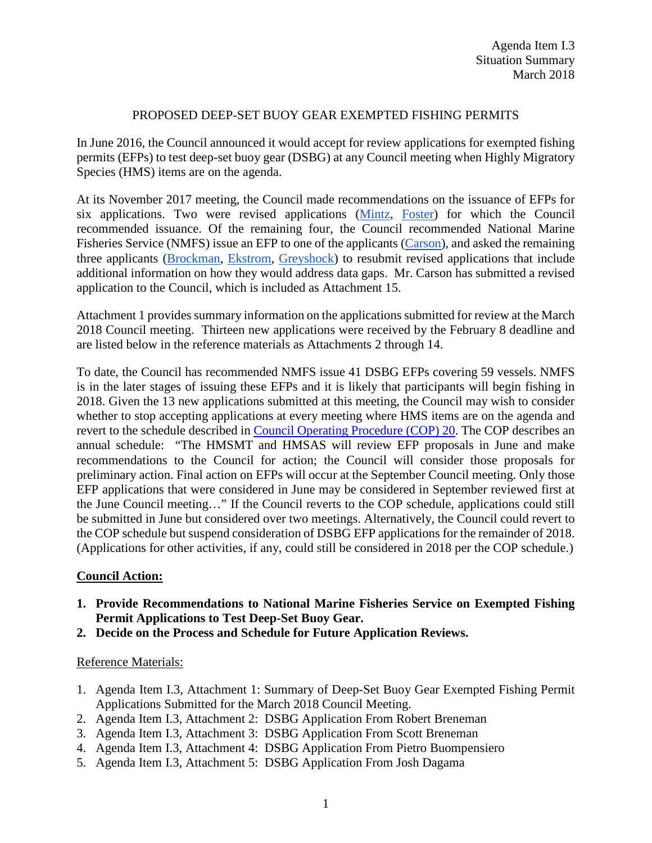## PROPOSED DEEP-SET BUOY GEAR EXEMPTED FISHING PERMITS

In June 2016, the Council announced it would accept for review applications for exempted fishing permits (EFPs) to test deep-set buoy gear (DSBG) at any Council meeting when Highly Migratory Species (HMS) items are on the agenda.

At its November 2017 meeting, the Council made recommendations on the issuance of EFPs for six applications. Two were revised applications [\(Mintz,](http://www.pcouncil.org/wp-content/uploads/2017/10/H3_Att3_DSBG_EFP_application_Mintz_Nov2017BB.pdf) [Foster\)](http://www.pcouncil.org/wp-content/uploads/2017/10/H3_Att7_Application_Foster_Nov2017BB.pdf) for which the Council recommended issuance. Of the remaining four, the Council recommended National Marine Fisheries Service (NMFS) issue an EFP to one of the applicants [\(Carson\)](http://www.pcouncil.org/wp-content/uploads/2017/10/H3_Att5_DSBG_EFP_application_Carson_Nov2017BB.pdf), and asked the remaining three applicants [\(Brockman,](http://www.pcouncil.org/wp-content/uploads/2017/10/H3_Att4_DSBG_EFP_application_Brockman_Nov2017BB.pdf) [Ekstrom,](http://www.pcouncil.org/wp-content/uploads/2017/10/H3_Att6_DSBG_EFP_application_Ekstrom_Nov2017BB.pdf) [Greyshock\)](http://www.pcouncil.org/wp-content/uploads/2017/10/H3_Att8_DSBG_EFP_Application_Greyshock_Nov2017BB.pdf) to resubmit revised applications that include additional information on how they would address data gaps. Mr. Carson has submitted a revised application to the Council, which is included as Attachment 15.

Attachment 1 provides summary information on the applications submitted for review at the March 2018 Council meeting. Thirteen new applications were received by the February 8 deadline and are listed below in the reference materials as Attachments 2 through 14.

To date, the Council has recommended NMFS issue 41 DSBG EFPs covering 59 vessels. NMFS is in the later stages of issuing these EFPs and it is likely that participants will begin fishing in 2018. Given the 13 new applications submitted at this meeting, the Council may wish to consider whether to stop accepting applications at every meeting where HMS items are on the agenda and revert to the schedule described in [Council Operating Procedure \(COP\) 20.](http://www.pcouncil.org/wp-content/uploads/2017/04/cop20.pdf) The COP describes an annual schedule: "The HMSMT and HMSAS will review EFP proposals in June and make recommendations to the Council for action; the Council will consider those proposals for preliminary action. Final action on EFPs will occur at the September Council meeting. Only those EFP applications that were considered in June may be considered in September reviewed first at the June Council meeting…" If the Council reverts to the COP schedule, applications could still be submitted in June but considered over two meetings. Alternatively, the Council could revert to the COP schedule but suspend consideration of DSBG EFP applications for the remainder of 2018. (Applications for other activities, if any, could still be considered in 2018 per the COP schedule.)

## **Council Action:**

- **1. Provide Recommendations to National Marine Fisheries Service on Exempted Fishing Permit Applications to Test Deep-Set Buoy Gear.**
- **2. Decide on the Process and Schedule for Future Application Reviews.**

## Reference Materials:

- 1. Agenda Item I.3, Attachment 1: Summary of Deep-Set Buoy Gear Exempted Fishing Permit Applications Submitted for the March 2018 Council Meeting.
- 2. Agenda Item I.3, Attachment 2: DSBG Application From Robert Breneman
- 3. Agenda Item I.3, Attachment 3: DSBG Application From Scott Breneman
- 4. Agenda Item I.3, Attachment 4: DSBG Application From Pietro Buompensiero
- 5. Agenda Item I.3, Attachment 5: DSBG Application From Josh Dagama